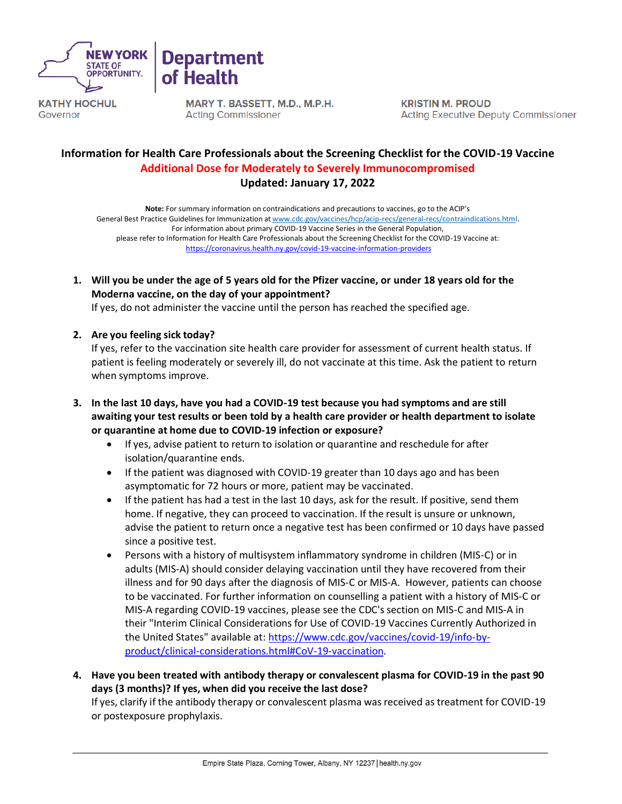

MARY T. BASSETT, M.D., M.P.H. **Acting Commissioner** 

**Department** 

Health

**KRISTIN M. PROUD Acting Executive Deputy Commissioner** 

# **Information for Health Care Professionals about the Screening Checklist for the COVID-19 Vaccine Additional Dose for Moderately to Severely Immunocompromised Updated: January 17, 2022**

**Note:** For summary information on contraindications and precautions to vaccines, go to the ACIP's General Best Practice Guidelines for Immunization at [www.cdc.gov/vaccines/hcp/acip-recs/general-recs/contraindications.html.](http://www.cdc.gov/vaccines/hcp/acip-recs/general-recs/contraindications.html) For information about primary COVID-19 Vaccine Series in the General Population, please refer to Information for Health Care Professionals about the Screening Checklist for the COVID-19 Vaccine at: <https://coronavirus.health.ny.gov/covid-19-vaccine-information-providers>

**1. Will you be under the age of 5 years old for the Pfizer vaccine, or under 18 years old for the Moderna vaccine, on the day of your appointment?** 

If yes, do not administer the vaccine until the person has reached the specified age.

**2. Are you feeling sick today?**

If yes, refer to the vaccination site health care provider for assessment of current health status. If patient is feeling moderately or severely ill, do not vaccinate at this time. Ask the patient to return when symptoms improve.

- **3. In the last 10 days, have you had a COVID-19 test because you had symptoms and are still awaiting your test results or been told by a health care provider or health department to isolate or quarantine at home due to COVID-19 infection or exposure?**
	- If yes, advise patient to return to isolation or quarantine and reschedule for after isolation/quarantine ends.
	- If the patient was diagnosed with COVID-19 greater than 10 days ago and has been asymptomatic for 72 hours or more, patient may be vaccinated.
	- If the patient has had a test in the last 10 days, ask for the result. If positive, send them home. If negative, they can proceed to vaccination. If the result is unsure or unknown, advise the patient to return once a negative test has been confirmed or 10 days have passed since a positive test.
	- Persons with a history of multisystem inflammatory syndrome in children (MIS-C) or in adults (MIS-A) should consider delaying vaccination until they have recovered from their illness and for 90 days after the diagnosis of MIS-C or MIS-A. However, patients can choose to be vaccinated. For further information on counselling a patient with a history of MIS-C or MIS-A regarding COVID-19 vaccines, please see the CDC's section on MIS-C and MIS-A in their "Interim Clinical Considerations for Use of COVID-19 Vaccines Currently Authorized in the United States" available at: [https://www.cdc.gov/vaccines/covid-19/info-by](https://www.cdc.gov/vaccines/covid-19/info-by-product/clinical-considerations.html#CoV-19-vaccination)[product/clinical-considerations.html#CoV-19-vaccination.](https://www.cdc.gov/vaccines/covid-19/info-by-product/clinical-considerations.html#CoV-19-vaccination)
- **4. Have you been treated with antibody therapy or convalescent plasma for COVID-19 in the past 90 days (3 months)? If yes, when did you receive the last dose?**

If yes, clarify if the antibody therapy or convalescent plasma was received as treatment for COVID-19 or postexposure prophylaxis.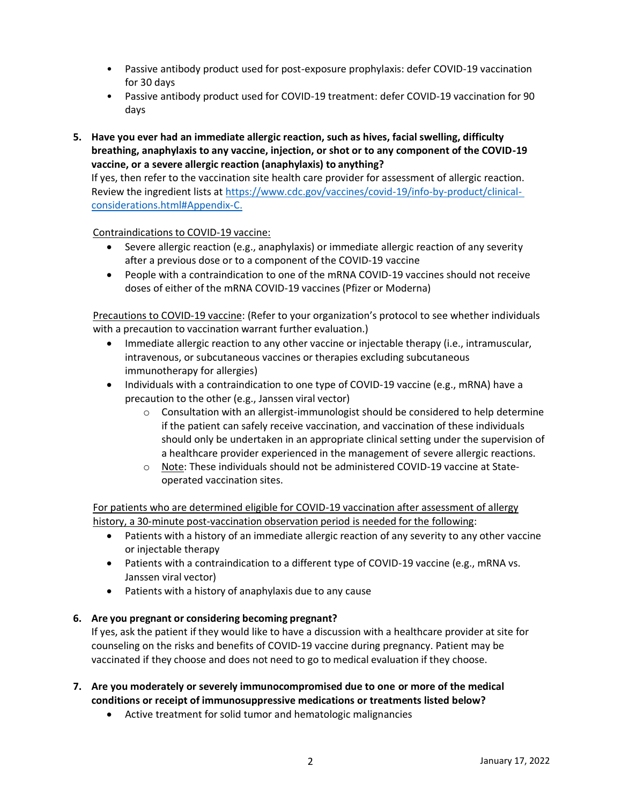- Passive antibody product used for post-exposure prophylaxis: defer COVID-19 vaccination for 30 days
- Passive antibody product used for COVID-19 treatment: defer COVID-19 vaccination for 90 days
- **5. Have you ever had an immediate allergic reaction, such as hives, facial swelling, difficulty breathing, anaphylaxis to any vaccine, injection, or shot or to any component of the COVID-19 vaccine, or a severe allergic reaction (anaphylaxis) to anything?**

If yes, then refer to the vaccination site health care provider for assessment of allergic reaction. Review the ingredient lists at [https://www.cdc.gov/vaccines/covid-19/info-by-product/clinical](https://www.cdc.gov/vaccines/covid-19/info-by-product/clinical-considerations.html#Appendix-C)[considerations.html#Appendix-C.](https://www.cdc.gov/vaccines/covid-19/info-by-product/clinical-considerations.html#Appendix-C)

### Contraindications to COVID-19 vaccine:

- Severe allergic reaction (e.g., anaphylaxis) or immediate allergic reaction of any severity after a previous dose or to a component of the COVID-19 vaccine
- People with a contraindication to one of the mRNA COVID-19 vaccines should not receive doses of either of the mRNA COVID-19 vaccines (Pfizer or Moderna)

Precautions to COVID-19 vaccine: (Refer to your organization's protocol to see whether individuals with a precaution to vaccination warrant further evaluation.)

- Immediate allergic reaction to any other vaccine or injectable therapy (i.e., intramuscular, intravenous, or subcutaneous vaccines or therapies excluding subcutaneous immunotherapy for allergies)
- Individuals with a contraindication to one type of COVID-19 vaccine (e.g., mRNA) have a precaution to the other (e.g., Janssen viral vector)
	- $\circ$  Consultation with an allergist-immunologist should be considered to help determine if the patient can safely receive vaccination, and vaccination of these individuals should only be undertaken in an appropriate clinical setting under the supervision of a healthcare provider experienced in the management of severe allergic reactions.
	- o Note: These individuals should not be administered COVID-19 vaccine at Stateoperated vaccination sites.

For patients who are determined eligible for COVID-19 vaccination after assessment of allergy history, a 30-minute post-vaccination observation period is needed for the following:

- Patients with a history of an immediate allergic reaction of any severity to any other vaccine or injectable therapy
- Patients with a contraindication to a different type of COVID-19 vaccine (e.g., mRNA vs. Janssen viral vector)
- Patients with a history of anaphylaxis due to any cause

#### **6. Are you pregnant or considering becoming pregnant?**

If yes, ask the patient if they would like to have a discussion with a healthcare provider at site for counseling on the risks and benefits of COVID-19 vaccine during pregnancy. Patient may be vaccinated if they choose and does not need to go to medical evaluation if they choose.

- **7. Are you moderately or severely immunocompromised due to one or more of the medical conditions or receipt of immunosuppressive medications or treatments listed below?**
	- Active treatment for solid tumor and hematologic malignancies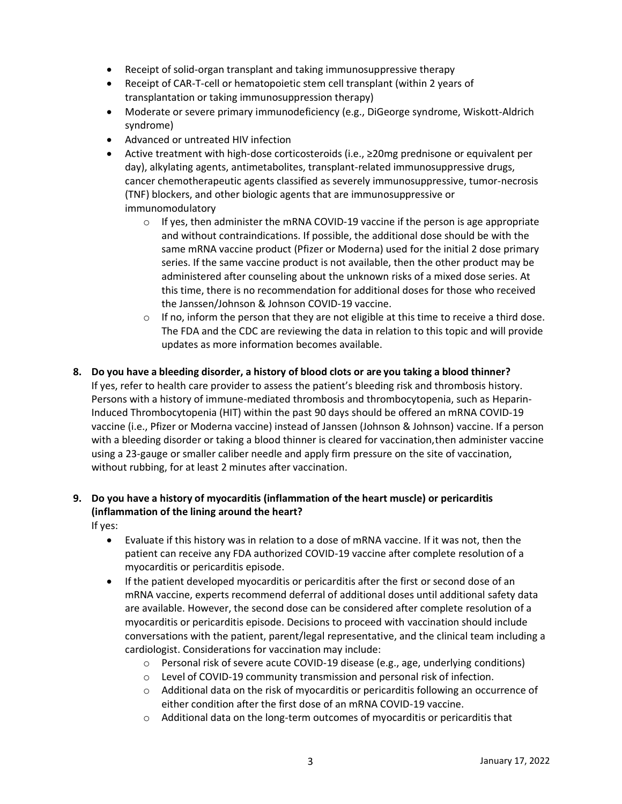- Receipt of solid-organ transplant and taking immunosuppressive therapy
- Receipt of CAR-T-cell or hematopoietic stem cell transplant (within 2 years of transplantation or taking immunosuppression therapy)
- Moderate or severe primary immunodeficiency (e.g., DiGeorge syndrome, Wiskott-Aldrich syndrome)
- Advanced or untreated HIV infection
- Active treatment with high-dose corticosteroids (i.e., ≥20mg prednisone or equivalent per day), alkylating agents, antimetabolites, transplant-related immunosuppressive drugs, cancer chemotherapeutic agents classified as severely immunosuppressive, tumor-necrosis (TNF) blockers, and other biologic agents that are immunosuppressive or immunomodulatory
	- $\circ$  If yes, then administer the mRNA COVID-19 vaccine if the person is age appropriate and without contraindications. If possible, the additional dose should be with the same mRNA vaccine product (Pfizer or Moderna) used for the initial 2 dose primary series. If the same vaccine product is not available, then the other product may be administered after counseling about the unknown risks of a mixed dose series. At this time, there is no recommendation for additional doses for those who received the Janssen/Johnson & Johnson COVID-19 vaccine.
	- $\circ$  If no, inform the person that they are not eligible at this time to receive a third dose. The FDA and the CDC are reviewing the data in relation to this topic and will provide updates as more information becomes available.

### **8. Do you have a bleeding disorder, a history of blood clots or are you taking a blood thinner?**

If yes, refer to health care provider to assess the patient's bleeding risk and thrombosis history. Persons with a history of immune-mediated thrombosis and thrombocytopenia, such as Heparin-Induced Thrombocytopenia (HIT) within the past 90 days should be offered an mRNA COVID-19 vaccine (i.e., Pfizer or Moderna vaccine) instead of Janssen (Johnson & Johnson) vaccine. If a person with a bleeding disorder or taking a blood thinner is cleared for vaccination,then administer vaccine using a 23-gauge or smaller caliber needle and apply firm pressure on the site of vaccination, without rubbing, for at least 2 minutes after vaccination.

# **9. Do you have a history of myocarditis (inflammation of the heart muscle) or pericarditis (inflammation of the lining around the heart?**

If yes:

- Evaluate if this history was in relation to a dose of mRNA vaccine. If it was not, then the patient can receive any FDA authorized COVID-19 vaccine after complete resolution of a myocarditis or pericarditis episode.
- If the patient developed myocarditis or pericarditis after the first or second dose of an mRNA vaccine, experts recommend deferral of additional doses until additional safety data are available. However, the second dose can be considered after complete resolution of a myocarditis or pericarditis episode. Decisions to proceed with vaccination should include conversations with the patient, parent/legal representative, and the clinical team including a cardiologist. Considerations for vaccination may include:
	- o Personal risk of severe acute COVID-19 disease (e.g., age, underlying conditions)
	- o Level of COVID-19 community transmission and personal risk of infection.
	- $\circ$  Additional data on the risk of myocarditis or pericarditis following an occurrence of either condition after the first dose of an mRNA COVID-19 vaccine.
	- $\circ$  Additional data on the long-term outcomes of myocarditis or pericarditis that